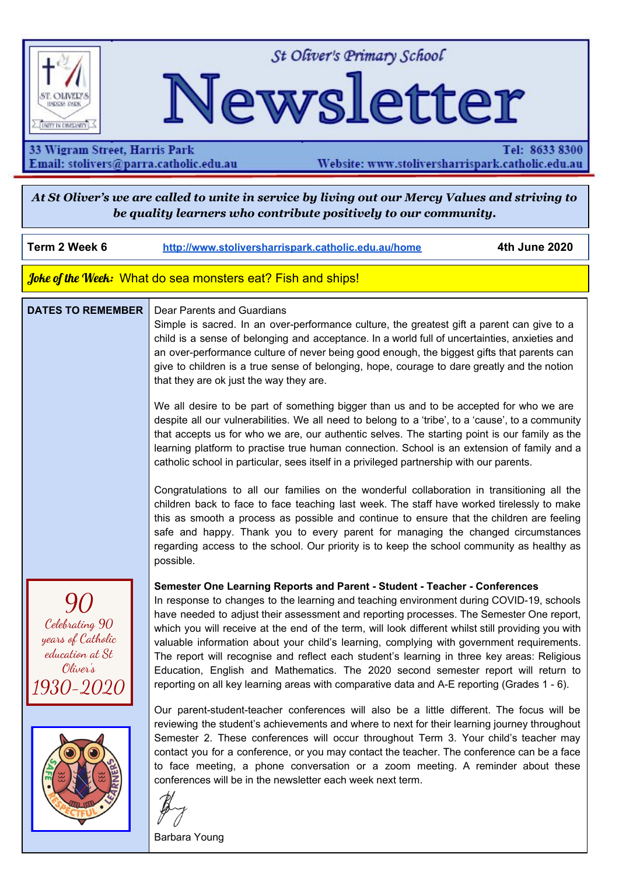

St Oliver's Primary School

# Newsletter

33 Wigram Street, Harris Park Email: stolivers@parra.catholic.edu.au

Tel: 8633 8300 Website: www.stoliversharrispark.catholic.edu.au

At St Oliver's we are called to unite in service by living out our Mercy Values and striving to *be quality learners who contribute positively to our community.*

**Term 2 Week 6 [http://www.stoliversharrispark.catholic.edu.au/home](http://www.stoliversharrispark.catholic.edu.au/) 4th June 2020**

Joke of the Week: What do sea monsters eat? Fish and ships!

#### **DATES TO REMEMBER** Dear Parents and Guardians

Simple is sacred. In an over-performance culture, the greatest gift a parent can give to a child is a sense of belonging and acceptance. In a world full of uncertainties, anxieties and an over-performance culture of never being good enough, the biggest gifts that parents can give to children is a true sense of belonging, hope, courage to dare greatly and the notion that they are ok just the way they are.

We all desire to be part of something bigger than us and to be accepted for who we are despite all our vulnerabilities. We all need to belong to a 'tribe', to a 'cause', to a community that accepts us for who we are, our authentic selves. The starting point is our family as the learning platform to practise true human connection. School is an extension of family and a catholic school in particular, sees itself in a privileged partnership with our parents.

Congratulations to all our families on the wonderful collaboration in transitioning all the children back to face to face teaching last week. The staff have worked tirelessly to make this as smooth a process as possible and continue to ensure that the children are feeling safe and happy. Thank you to every parent for managing the changed circumstances regarding access to the school. Our priority is to keep the school community as healthy as possible.

In response to changes to the learning and teaching environment during COVID-19, schools have needed to adjust their assessment and reporting processes. The Semester One report,





which you will receive at the end of the term, will look different whilst still providing you with valuable information about your child's learning, complying with government requirements.

**Semester One Learning Reports and Parent - Student - Teacher - Conferences**

The report will recognise and reflect each student's learning in three key areas: Religious Education, English and Mathematics. The 2020 second semester report will return to reporting on all key learning areas with comparative data and A-E reporting (Grades 1 - 6).

Our parent-student-teacher conferences will also be a little different. The focus will be reviewing the student's achievements and where to next for their learning journey throughout Semester 2. These conferences will occur throughout Term 3. Your child's teacher may contact you for a conference, or you may contact the teacher. The conference can be a face to face meeting, a phone conversation or a zoom meeting. A reminder about these conferences will be in the newsletter each week next term.

Barbara Young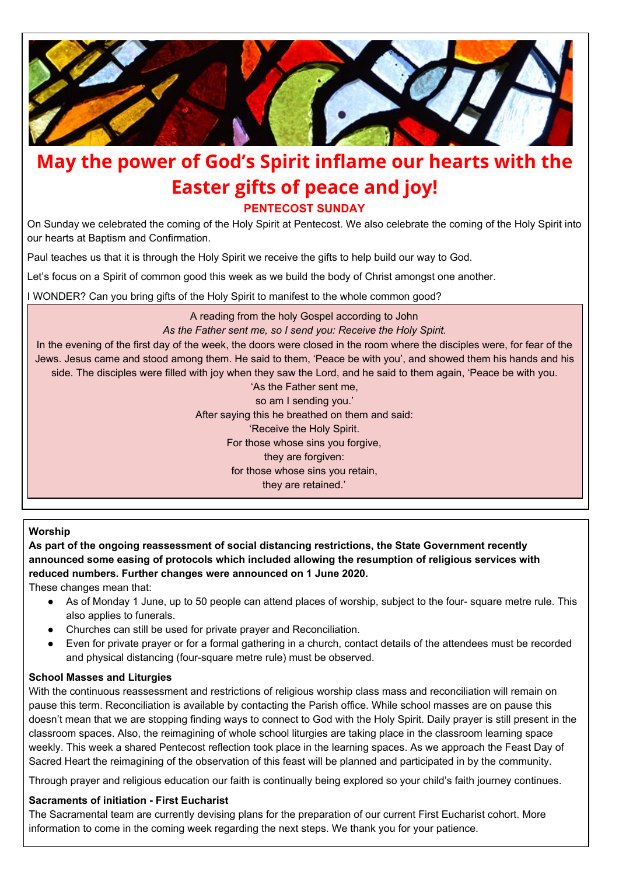

## **May the power of God's Spirit inflame our hearts with the Easter gifts of peace and joy!**

**PENTECOST SUNDAY**

On Sunday we celebrated the coming of the Holy Spirit at Pentecost. We also celebrate the coming of the Holy Spirit into our hearts at Baptism and Confirmation.

Paul teaches us that it is through the Holy Spirit we receive the gifts to help build our way to God.

Let's focus on a Spirit of common good this week as we build the body of Christ amongst one another.

I WONDER? Can you bring gifts of the Holy Spirit to manifest to the whole common good?

A reading from the holy Gospel according to John *As the Father sent me, so I send you: Receive the Holy Spirit.* In the evening of the first day of the week, the doors were closed in the room where the disciples were, for fear of the Jews. Jesus came and stood among them. He said to them, 'Peace be with you', and showed them his hands and his side. The disciples were filled with joy when they saw the Lord, and he said to them again, 'Peace be with you. 'As the Father sent me, so am I sending you.' After saying this he breathed on them and said: 'Receive the Holy Spirit. For those whose sins you forgive, they are forgiven: for those whose sins you retain, they are retained.'

**Worship**

**As part of the ongoing reassessment of social distancing restrictions, the State Government recently announced some easing of protocols which included allowing the resumption of religious services with reduced numbers. Further changes were announced on 1 June 2020.**

These changes mean that:

- As of Monday 1 June, up to 50 people can attend places of worship, subject to the four- square metre rule. This also applies to funerals.
- Churches can still be used for private prayer and Reconciliation.
- Even for private prayer or for a formal gathering in a church, contact details of the attendees must be recorded and physical distancing (four-square metre rule) must be observed.

#### **School Masses and Liturgies**

With the continuous reassessment and restrictions of religious worship class mass and reconciliation will remain on pause this term. Reconciliation is available by contacting the Parish office. While school masses are on pause this doesn't mean that we are stopping finding ways to connect to God with the Holy Spirit. Daily prayer is still present in the classroom spaces. Also, the reimagining of whole school liturgies are taking place in the classroom learning space weekly. This week a shared Pentecost reflection took place in the learning spaces. As we approach the Feast Day of Sacred Heart the reimagining of the observation of this feast will be planned and participated in by the community.

Through prayer and religious education our faith is continually being explored so your child's faith journey continues.

#### **Sacraments of initiation - First Eucharist**

The Sacramental team are currently devising plans for the preparation of our current First Eucharist cohort. More information to come in the coming week regarding the next steps. We thank you for your patience.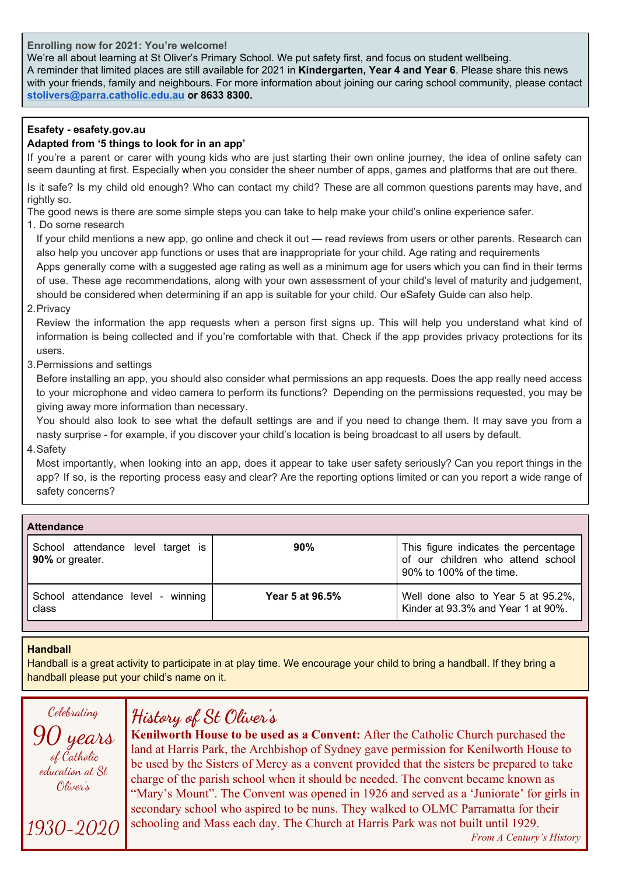**Enrolling now for 2021: You're welcome!**

We're all about learning at St Oliver's Primary School. We put safety first, and focus on student wellbeing. A reminder that limited places are still available for 2021 in **Kindergarten, Year 4 and Year 6**. Please share this news with your friends, family and neighbours. For more information about joining our caring school community, please contact **[stolivers@parra.catholic.edu.au](mailto:stolivers@parra.catholic.edu.au) or 8633 8300.**

#### **Esafety - esafety.gov.au**

#### **Adapted from '5 things to look for in an app'**

If you're a parent or carer with young kids who are just starting their own online journey, the idea of online safety can seem daunting at first. Especially when you consider the sheer number of apps, games and platforms that are out there.

Is it safe? Is my child old enough? Who can contact my child? These are all common questions parents may have, and rightly so.

The good news is there are some simple steps you can take to help make your child's online experience safer.

1. Do some research

If your child mentions a new app, go online and check it out — read reviews from users or other parents. Research can also help you uncover app functions or uses that are inappropriate for your child. Age rating and requirements

Apps generally come with a suggested age rating as well as a minimum age for users which you can find in their terms of use. These age recommendations, along with your own assessment of your child's level of maturity and judgement, should be considered when determining if an app is suitable for your child. Our [eSafety](https://www.esafety.gov.au/key-issues/esafety-guide) Guide can also help.

2.Privacy

Review the information the app requests when a person first signs up. This will help you understand what kind of information is being collected and if you're comfortable with that. Check if the app provides privacy protections for its users.

3.Permissions and settings

Before installing an app, you should also consider what permissions an app requests. Does the app really need access to your microphone and video camera to perform its functions? Depending on the permissions requested, you may be giving away more information than necessary.

You should also look to see what the default settings are and if you need to change them. It may save you from a nasty surprise - for example, if you discover your child's location is being broadcast to all users by default.

4.Safety

Most importantly, when looking into an app, does it appear to take user safety seriously? Can you report things in the app? If so, is the reporting process easy and clear? Are the reporting options limited or can you report a wide range of safety concerns?

| <b>Attendance</b>                                    |                 |                                                                                                       |
|------------------------------------------------------|-----------------|-------------------------------------------------------------------------------------------------------|
| School attendance level target is<br>90% or greater. | 90%             | This figure indicates the percentage<br>of our children who attend school<br>90% to 100% of the time. |
| School attendance level - winning<br>class           | Year 5 at 96.5% | Well done also to Year 5 at 95.2%,<br>Kinder at 93.3% and Year 1 at 90%.                              |

#### **Handball**

Handball is a great activity to participate in at play time. We encourage your child to bring a handball. If they bring a handball please put your child's name on it.

Celebrating

90 years of Catholic education at St Oliver's

1930-2020

## **History of St Oliver's**

**Kenilworth House to be used as a Convent:** After the Catholic Church purchased the land at Harris Park, the Archbishop of Sydney gave permission for Kenilworth House to be used by the Sisters of Mercy as a convent provided that the sisters be prepared to take charge of the parish school when it should be needed. The convent became known as "Mary's Mount". The Convent was opened in 1926 and served as a 'Juniorate' for girls in secondary school who aspired to be nuns. They walked to OLMC Parramatta for their schooling and Mass each day. The Church at Harris Park was not built until 1929.

*From A Century's History*